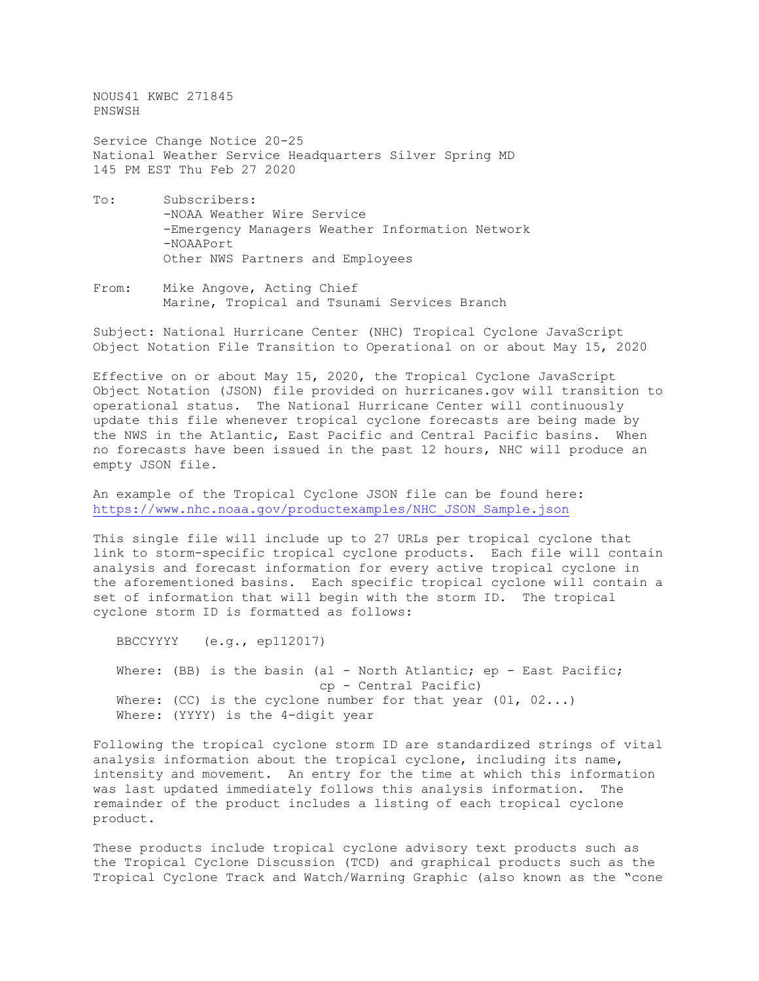NOUS41 KWBC 271845 PNSWSH

Service Change Notice 20-25 National Weather Service Headquarters Silver Spring MD 145 PM EST Thu Feb 27 2020

- To: Subscribers: -NOAA Weather Wire Service -Emergency Managers Weather Information Network -NOAAPort Other NWS Partners and Employees
- From: Mike Angove, Acting Chief Marine, Tropical and Tsunami Services Branch

Subject: National Hurricane Center (NHC) Tropical Cyclone JavaScript Object Notation File Transition to Operational on or about May 15, 2020

Effective on or about May 15, 2020, the Tropical Cyclone JavaScript Object Notation (JSON) file provided on hurricanes.gov will transition to operational status. The National Hurricane Center will continuously update this file whenever tropical cyclone forecasts are being made by the NWS in the Atlantic, East Pacific and Central Pacific basins. When no forecasts have been issued in the past 12 hours, NHC will produce an empty JSON file.

An example of the Tropical Cyclone JSON file can be found here: [https://www.nhc.noaa.gov/productexamples/NHC\\_JSON\\_Sample.json](https://www.nhc.noaa.gov/productexamples/NHC_JSON_Sample.json)

This single file will include up to 27 URLs per tropical cyclone that link to storm-specific tropical cyclone products. Each file will contain analysis and forecast information for every active tropical cyclone in the aforementioned basins. Each specific tropical cyclone will contain a set of information that will begin with the storm ID. The tropical cyclone storm ID is formatted as follows:

 BBCCYYYY (e.g., ep112017) Where: (BB) is the basin (al - North Atlantic; ep - East Pacific; cp - Central Pacific) Where: (CC) is the cyclone number for that year  $(01, 02...)$ Where: (YYYY) is the 4-digit year

Following the tropical cyclone storm ID are standardized strings of vital analysis information about the tropical cyclone, including its name, intensity and movement. An entry for the time at which this information was last updated immediately follows this analysis information. The remainder of the product includes a listing of each tropical cyclone product.

These products include tropical cyclone advisory text products such as the Tropical Cyclone Discussion (TCD) and graphical products such as the Tropical Cyclone Track and Watch/Warning Graphic (also known as the "cone